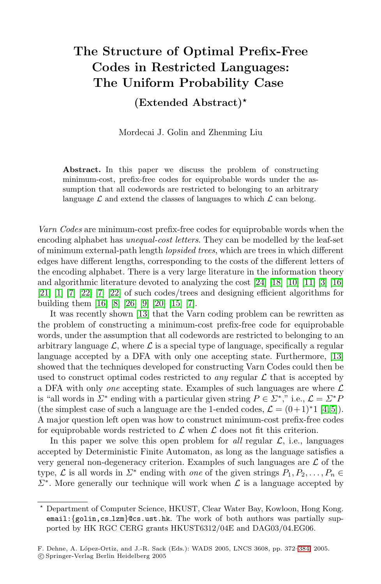# **The Structure of Optimal Prefix-Free Codes in Restricted Languages: The Uniform Probability Case**

**(Extended Abstract)**

Mordecai J. Golin and Zhenming Liu

**Abstract.** In this paper we discuss the problem of constructing minimum-cost, prefix-free codes for equiprobable words under the assumption that all codewords are restricted to belonging to an arbitrary language  $\mathcal L$  and extend the classes of languages to which  $\mathcal L$  can belong.

*Varn Codes* are minimum-cost prefix-free codes for equiprobable words when the encoding alphabet has *unequal-cost letters*. They can be modelled by the leaf-set of minimum external-path length *lopsided trees*, which are trees in which different edges have different lengths, corresponding to the costs of the different letters of the encoding alphabet. There is a very large literature in the information theory and algorithmic literature devoted to analyzing the cost [\[24\]](#page-12-0) [\[18\]](#page-11-0) [\[10\]](#page-11-1) [\[11\]](#page-11-2) [\[3\]](#page-11-3) [\[16\]](#page-11-4) [\[21\]](#page-11-5) [\[1\]](#page-11-6) [\[7\]](#page-11-7) [\[22\]](#page-12-1) [\[7\]](#page-11-7) [\[22\]](#page-12-1) of such codes/trees and designing efficient algorithms for building them [\[16\]](#page-11-4) [\[8\]](#page-11-8) [\[26\]](#page-12-2) [\[9\]](#page-11-9) [\[20\]](#page-11-10) [\[15\]](#page-11-11) [\[7\]](#page-11-7).

It was recently shown [\[13\]](#page-11-12) that the Varn coding problem can be rewritten as the problem of constructing a minimum-cost prefix-free code for equiprobable words, under the assumption that all codewords are restricted to belonging to an arbitrary language  $\mathcal{L}$ , where  $\mathcal{L}$  is a special type of language, specifically a regular language accepted by a DFA with only one accepting state. Furthermore, [\[13\]](#page-11-12) showed that the techniques developed for constructing Varn Codes could then be used to construct optimal codes restricted to *any* regular  $\mathcal L$  that is accepted by a DFA with only *one* accepting state. Examples of such languages are where L is "all words in  $\Sigma^*$  ending with a particular given string  $P \in \Sigma^*$ ," i.e.,  $\mathcal{L} = \Sigma^* P$ (the simplest case of such a language are the 1-ended codes,  $\mathcal{L} = (0+1)^*1$  [\[4,](#page-11-13) [5\]](#page-11-14)). A major question left open was how to construct minimum-cost prefix-free codes for equiprobable words restricted to  $\mathcal L$  when  $\mathcal L$  does not fit this criterion.

In this paper we solve this open problem for *all* regular  $\mathcal{L}$ , i.e., languages accepted by Deterministic Finite Automaton, as long as the language satisfies a very general non-degeneracy criterion. Examples of such languages are  $\mathcal L$  of the type,  $\mathcal L$  is all words in  $\Sigma^*$  ending with *one* of the given strings  $P_1, P_2, \ldots, P_n \in$  $\Sigma^*$ . More generally our technique will work when  $\mathcal L$  is a language accepted by

Department of Computer Science, HKUST, Clear Water Bay, Kowloon, Hong Kong.  $e$ mail: $\{g$ olin,cs\_1zm}@cs.ust.hk. The work of both authors was partially supported by HK RGC CERG grants HKUST6312/04E and DAG03/04.EG06.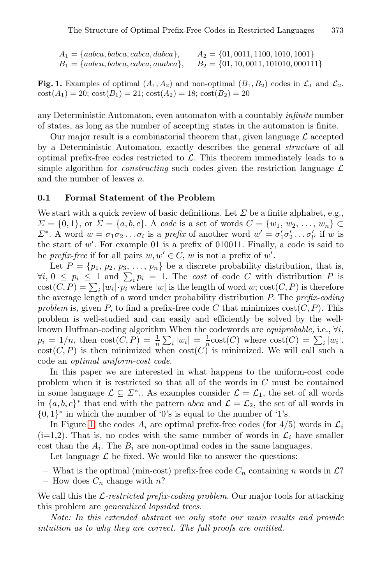$A_1 = \{aabca, babca, cabca, dabca\}, \qquad A_2 = \{01, 0011, 1100, 1010, 1001\}$  $B_1 = \{aabca, babca, cabca, aaabca\}, \qquad B_2 = \{01, 10, 0011, 101010, 000111\}$ 

<span id="page-1-0"></span>**Fig. 1.** Examples of optimal  $(A_1, A_2)$  and non-optimal  $(B_1, B_2)$  codes in  $\mathcal{L}_1$  and  $\mathcal{L}_2$ .  $\text{cost}(A_1) = 20$ ;  $\text{cost}(B_1) = 21$ ;  $\text{cost}(A_2) = 18$ ;  $\text{cost}(B_2) = 20$ 

any Deterministic Automaton, even automaton with a countably *infinite* number of states, as long as the number of accepting states in the automaton is finite.

Our major result is a combinatorial theorem that, given language  $\mathcal L$  accepted by a Deterministic Automaton, exactly describes the general *structure* of all optimal prefix-free codes restricted to  $\mathcal{L}$ . This theorem immediately leads to a simple algorithm for *constructing* such codes given the restriction language  $\mathcal{L}$ and the number of leaves n.

#### **0.1 Formal Statement of the Problem**

We start with a quick review of basic definitions. Let  $\Sigma$  be a finite alphabet, e.g.,  $\Sigma = \{0, 1\}$ , or  $\Sigma = \{a, b, c\}$ . A *code* is a set of words  $C = \{w_1, w_2, ..., w_n\}$  $\Sigma^*$ . A word  $w = \sigma_1 \sigma_2 \dots \sigma_l$  is a *prefix* of another word  $w' = \sigma'_1 \sigma'_2 \dots \sigma'_{l'}$  if w is the start of  $w'$ . For example 01 is a prefix of 010011. Finally, a code is said to be *prefix-free* if for all pairs  $w, w' \in C$ , w is not a prefix of w'.

Let  $P = \{p_1, p_2, p_3, \ldots, p_n\}$  be a discrete probability distribution, that is,  $\forall i, 0 \leq p_i \leq 1$  and  $\sum_i p_i = 1$ . The *cost* of code C with distribution P is  $cost(C, P) = \sum_{i} |w_i| \cdot \overline{p_i}$  where  $|w|$  is the length of word w;  $cost(C, P)$  is therefore the average length of a word under probability distribution P. The *prefix-coding problem* is, given P, to find a prefix-free code C that minimizes  $cost(C, P)$ . This problem is well-studied and can easily and efficiently be solved by the wellknown Huffman-coding algorithm When the codewords are *equiprobable,* i.e., ∀i,  $p_i = 1/n$ , then  $\text{cost}(C, P) = \frac{1}{n} \sum_i |w_i| = \frac{1}{n} \text{cost}(C)$  where  $\text{cost}(C) = \sum_i |w_i|$ .  $cost(C, P)$  is then minimized when  $cost(C)$  is minimized. We will call such a code an *optimal uniform-cost code*.

In this paper we are interested in what happens to the uniform-cost code problem when it is restricted so that all of the words in C must be contained in some language  $\mathcal{L} \subseteq \mathcal{L}^*$ ,. As examples consider  $\mathcal{L} = \mathcal{L}_1$ , the set of all words in  $\{a, b, c\}^*$  that end with the pattern abca and  $\mathcal{L} = \mathcal{L}_2$ , the set of all words in  $\{0,1\}^*$  in which the number of '0's is equal to the number of '1's.

In Figure [1,](#page-1-0) the codes  $A_i$  are optimal prefix-free codes (for  $4/5$ ) words in  $\mathcal{L}_i$  $(i=1,2)$ . That is, no codes with the same number of words in  $\mathcal{L}_i$  have smaller cost than the  $A_i$ . The  $B_i$  are non-optimal codes in the same languages.

Let language  $\mathcal L$  be fixed. We would like to answer the questions:

- What is the optimal (min-cost) prefix-free code  $C_n$  containing n words in  $\mathcal{L}$ ?
- How does  $C_n$  change with n?

We call this the L*-restricted prefix-coding problem*. Our major tools for attacking this problem are *generalized lopsided trees*.

*Note: In this extended abstract we only state our main results and provide intuition as to why they are correct. The full proofs are omitted.*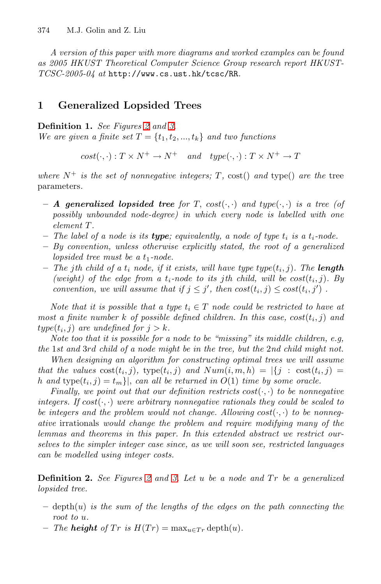*A version of this paper with more diagrams and worked examples can be found as 2005 HKUST Theoretical Computer Science Group research report HKUST-TCSC-2005-04 at* http://www.cs.ust.hk/tcsc/RR*.*

## **1 Generalized Lopsided Trees**

**Definition 1.** *See Figures [2](#page-3-0) and [3.](#page-4-0)*

*We are given a finite set*  $T = \{t_1, t_2, ..., t_k\}$  *and two functions* 

 $cost(\cdot, \cdot): T \times N^+ \to N^+ \quad and \quad type(\cdot, \cdot): T \times N^+ \to T$ 

*where*  $N^+$  *is the set of nonnegative integers;*  $T$ ,  $cost()$  *and*  $type()$  *are the tree* parameters*.*

- $-$  *A* generalized lopsided tree for T, cost( $\cdot$ , $\cdot$ ) and type( $\cdot$ , $\cdot$ ) is a tree (of *possibly unbounded node-degree) in which every node is labelled with one element* T*.*
- **–** *The label of a node is its type; equivalently, a node of type* t*<sup>i</sup> is a* t*i-node.*
- **–** *By convention, unless otherwise explicitly stated, the root of a generalized lopsided tree must be a*  $t_1$ *-node.*
- $-$  *The jth child of a*  $t_i$  *node, if it exists, will have type type* $(t_i, j)$ *. The length (weight)* of the edge from a  $t_i$ -node to its jth child, will be  $cost(t_i, j)$ . By *convention, we will assume that if*  $j \leq j'$ , then  $cost(t_i, j) \leq cost(t_i, j')$ .

*Note that it is possible that a type*  $t_i \in T$  *node could be restricted to have at most a finite number* k of possible defined children. In this case,  $cost(t_i, j)$  and  $type(t_i, j)$  *are undefined for*  $j > k$ *.* 

*Note too that it is possible for a node to be "missing" its middle children, e.g, the* 1*st and* 3rd *child of a node might be in the tree, but the* 2*nd child might not.*

*When designing an algorithm for constructing optimal trees we will assume that the values*  $cost(t_i, j)$ ,  $type(t_i, j)$  *and*  $Num(i, m, h) = |\{j : cost(t_i, j) =$ h and  $type(t_i, j) = t_m$ , *can all be returned in*  $O(1)$  *time by some oracle.* 

*Finally, we point out that our definition restricts*  $cost(\cdot, \cdot)$  *to be nonnegative integers. If*  $cost(\cdot, \cdot)$  *were arbitrary nonnegative rationals they could be scaled to be integers and the problem would not change. Allowing*  $cost(\cdot, \cdot)$  *to be nonnegative* irrationals *would change the problem and require modifying many of the lemmas and theorems in this paper. In this extended abstract we restrict ourselves to the simpler integer case since, as we will soon see, restricted languages can be modelled using integer costs.*

**Definition 2.** *See Figures [2](#page-3-0) and [3.](#page-4-0) Let* u *be a node and* T r *be a generalized lopsided tree.*

- $-$  depth $(u)$  *is the sum of the lengths of the edges on the path connecting the root to* u*.*
- $-$  *The height of*  $Tr$  *is*  $H(Tr) = \max_{u \in Tr} \text{depth}(u)$ .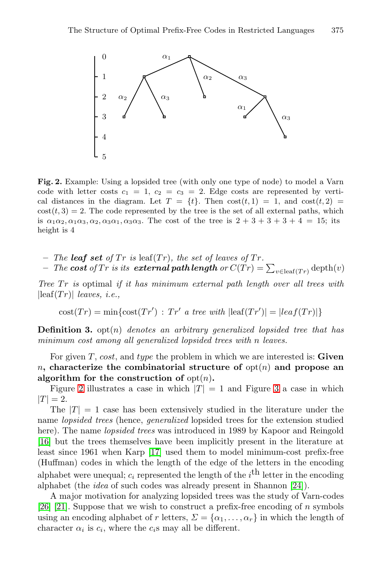

<span id="page-3-0"></span>**Fig. 2.** Example: Using a lopsided tree (with only one type of node) to model a Varn code with letter costs  $c_1 = 1$ ,  $c_2 = c_3 = 2$ . Edge costs are represented by vertical distances in the diagram. Let  $T = \{t\}$ . Then  $cost(t, 1) = 1$ , and  $cost(t, 2) =$  $cost(t, 3) = 2$ . The code represented by the tree is the set of all external paths, which is  $\alpha_1\alpha_2, \alpha_1\alpha_3, \alpha_2, \alpha_3\alpha_1, \alpha_3\alpha_3$ . The cost of the tree is  $2+3+3+3+4=15$ ; its height is 4

 $-$  *The leaf set of Tr is* leaf(*Tr*)*, the set of leaves of Tr.* 

 $\begin{aligned} &\text{ \quad \textit{--} The \textit{cost of} Tr \textit{ is its \textit{external path length} or } C(\mathring{\mathnormal{T}r}) = \sum_{v \in \text{leaf}(\mathnormal{\mathnormal{T}r})} \text{depth}(v) \end{aligned}$ 

*Tree* Tr *is* optimal *if it has minimum external path length over all trees with*  $|\text{leaf}(Tr)|$  *leaves, i.e.*,

 $\text{cost}(Tr) = \min\{\text{cost}(Tr') : Tr' \text{ a tree with } |\text{leaf}(Tr')| = |leaf(Tr)|\}$ 

**Definition 3.** opt(n) *denotes an arbitrary generalized lopsided tree that has minimum cost among all generalized lopsided trees with* n *leaves.*

For given T, cost, and type the problem in which we are interested is: **Given** n, characterize the combinatorial structure of  $opt(n)$  and propose an algorithm for the construction of  $opt(n)$ .

Figure [2](#page-3-0) illustrates a case in which  $|T| = 1$  and Figure [3](#page-4-0) a case in which  $|T| = 2.$ 

The  $|T| = 1$  case has been extensively studied in the literature under the name *lopsided trees* (hence, *generalized* lopsided trees for the extension studied here). The name *lopsided trees* was introduced in 1989 by Kapoor and Reingold [\[16\]](#page-11-4) but the trees themselves have been implicitly present in the literature at least since 1961 when Karp [\[17\]](#page-11-15) used them to model minimum-cost prefix-free (Huffman) codes in which the length of the edge of the letters in the encoding alphabet were unequal;  $c_i$  represented the length of the  $i^{\text{th}}$  letter in the encoding alphabet (the *idea* of such codes was already present in Shannon [\[24\]](#page-12-0)).

A major motivation for analyzing lopsided trees was the study of Varn-codes [\[26\]](#page-12-2) [\[21\]](#page-11-5). Suppose that we wish to construct a prefix-free encoding of n symbols using an encoding alphabet of r letters,  $\Sigma = {\alpha_1, \ldots, \alpha_r}$  in which the length of character  $\alpha_i$  is  $c_i$ , where the  $c_i$ s may all be different.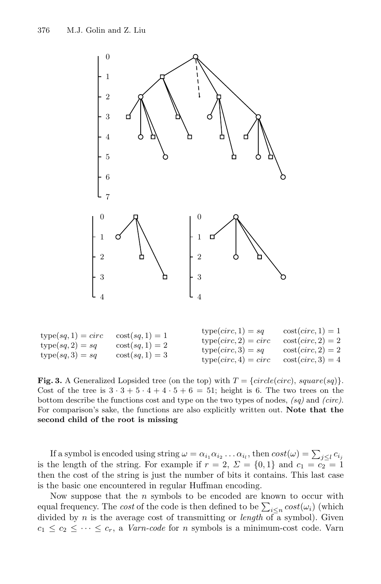

| $type(sq, 1) = circ$<br>$type(sq, 2) = sq$ | $\cot(sq,1)=1$<br>$\cot(sq,1)=2$ | $type(circ, 1) = sq$<br>$type(circ, 2) = circ$<br>$type(circ, 3) = sq$ | $\csc(circ, 1) = 1$<br>$\csc(circ, 2) = 2$<br>$\csc(circ, 2) = 2$ |
|--------------------------------------------|----------------------------------|------------------------------------------------------------------------|-------------------------------------------------------------------|
| $type(sq, 3) = sq$                         | $\cot(sq,1)=3$                   | $type(circ, 4) = circ$                                                 | $\cot(circ, 3) = 4$                                               |

<span id="page-4-0"></span>**Fig. 3.** A Generalized Lopsided tree (on the top) with  $T = \{circle(circ), square(sq)\}.$ Cost of the tree is  $3 \cdot 3 + 5 \cdot 4 + 4 \cdot 5 + 6 = 51$ ; height is 6. The two trees on the bottom describe the functions cost and type on the two types of nodes, *(sq)* and *(circ)*. For comparison's sake, the functions are also explicitly written out. **Note that the second child of the root is missing**

If a symbol is encoded using string  $\omega = \alpha_{i_1} \alpha_{i_2} \dots \alpha_{i_l}$ , then  $cost(\omega) = \sum_{j \leq l} c_{i_j}$ is the length of the string. For example if  $r = 2$ ,  $\Sigma = \{0,1\}$  and  $c_1 = c_2 = 1$ then the cost of the string is just the number of bits it contains. This last case is the basic one encountered in regular Huffman encoding.

Now suppose that the  $n$  symbols to be encoded are known to occur with equal frequency. The *cost* of the code is then defined to be  $\sum_{i \leq n} cost(\omega_i)$  (which divided by n is the average cost of transmitting or *length* of a symbol). Given  $c_1 \leq c_2 \leq \cdots \leq c_r$ , a *Varn-code* for *n* symbols is a minimum-cost code. Varn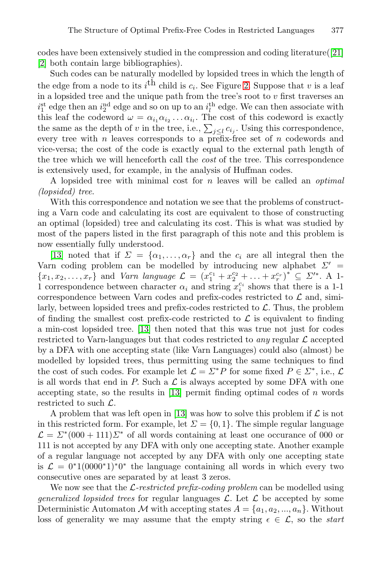codes have been extensively studied in the compression and coding literature([\[21\]](#page-11-5) [\[2\]](#page-11-16) both contain large bibliographies).

Such codes can be naturally modelled by lopsided trees in which the length of the edge from a node to its  $i<sup>th</sup>$  child is  $c<sub>i</sub>$ . See Figure [2.](#page-3-0) Suppose that v is a leaf in a lopsided tree and the unique path from the tree's root to  $v$  first traverses an  $i_1^{\text{st}}$  edge then an  $i_2^{\text{nd}}$  edge and so on up to an  $i_l^{\text{th}}$  edge. We can then associate with this leaf the codeword  $\omega = \alpha_{i_1} \alpha_{i_2} \ldots \alpha_{i_l}$ . The cost of this codeword is exactly the same as the depth of v in the tree, i.e.,  $\sum_{j\leq l} c_{i_j}$ . Using this correspondence, every tree with  $n$  leaves corresponds to a prefix-free set of  $n$  codewords and vice-versa; the cost of the code is exactly equal to the external path length of the tree which we will henceforth call the *cost* of the tree. This correspondence is extensively used, for example, in the analysis of Huffman codes.

A lopsided tree with minimal cost for n leaves will be called an *optimal (lopsided) tree*.

With this correspondence and notation we see that the problems of constructing a Varn code and calculating its cost are equivalent to those of constructing an optimal (lopsided) tree and calculating its cost. This is what was studied by most of the papers listed in the first paragraph of this note and this problem is now essentially fully understood.

[\[13\]](#page-11-12) noted that if  $\Sigma = {\alpha_1, \ldots, \alpha_r}$  and the  $c_i$  are all integral then the Varn coding problem can be modelled by introducing new alphabet  $\Sigma'$  =  ${x_1, x_2,...,x_r}$  and *Varn language*  $\mathcal{L} = (x_1^{c_1} + x_2^{c_2} + ... + x_r^{c_r})^* \subseteq \mathcal{L}'^*$ . A 1-1 correspondence between character  $\alpha_i$  and string  $x_i^{c_i}$  shows that there is a 1-1 correspondence between Varn codes and prefix-codes restricted to  $\mathcal L$  and, similarly, between lopsided trees and prefix-codes restricted to  $\mathcal{L}$ . Thus, the problem of finding the smallest cost prefix-code restricted to  $\mathcal L$  is equivalent to finding a min-cost lopsided tree. [\[13\]](#page-11-12) then noted that this was true not just for codes restricted to Varn-languages but that codes restricted to *any* regular  $\mathcal{L}$  accepted by a DFA with one accepting state (like Varn Languages) could also (almost) be modelled by lopsided trees, thus permitting using the same techniques to find the cost of such codes. For example let  $\mathcal{L} = \Sigma^* P$  for some fixed  $P \in \Sigma^*$ , i.e.,  $\mathcal{L}$ is all words that end in P. Such a  $\mathcal L$  is always accepted by some DFA with one accepting state, so the results in  $[13]$  permit finding optimal codes of n words restricted to such  $\mathcal{L}$ .

A problem that was left open in [\[13\]](#page-11-12) was how to solve this problem if  $\mathcal L$  is not in this restricted form. For example, let  $\Sigma = \{0, 1\}$ . The simple regular language  $\mathcal{L} = \Sigma^* (000 + 111) \Sigma^*$  of all words containing at least one occurance of 000 or 111 is not accepted by any DFA with only one accepting state. Another example of a regular language not accepted by any DFA with only one accepting state is  $\mathcal{L} = 0^*1(0000^*1)^*0^*$  the language containing all words in which every two consecutive ones are separated by at least 3 zeros.

We now see that the L*-restricted prefix-coding problem* can be modelled using *generalized lopsided trees* for regular languages  $\mathcal{L}$ . Let  $\mathcal{L}$  be accepted by some Deterministic Automaton M with accepting states  $A = \{a_1, a_2, ..., a_n\}$ . Without loss of generality we may assume that the empty string  $\epsilon \in \mathcal{L}$ , so the *start*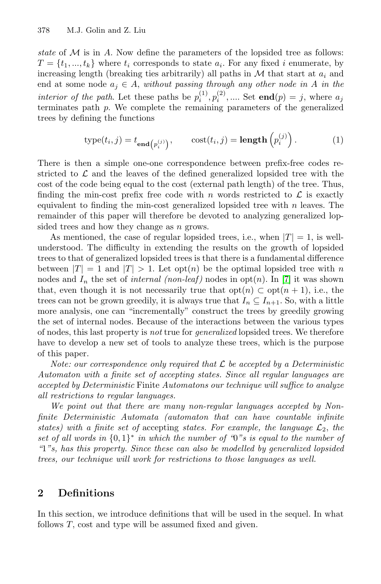*state* of M is in A. Now define the parameters of the lopsided tree as follows:  $T = \{t_1, ..., t_k\}$  where  $t_i$  corresponds to state  $a_i$ . For any fixed i enumerate, by increasing length (breaking ties arbitrarily) all paths in  $M$  that start at  $a_i$  and end at some node  $a_j \in A$ , *without passing through any other node in* A *in the interior of the path.* Let these paths be  $p_i^{(1)}, p_i^{(2)}, \dots$ . Set **end** $(p) = j$ , where  $a_j$ terminates path p. We complete the remaining parameters of the generalized trees by defining the functions

$$
type(t_i, j) = t_{\mathbf{end}(p_i^{(j)})}, \qquad cost(t_i, j) = \mathbf{length}\left(p_i^{(j)}\right). \tag{1}
$$

There is then a simple one-one correspondence between prefix-free codes restricted to  $\mathcal L$  and the leaves of the defined generalized lopsided tree with the cost of the code being equal to the cost (external path length) of the tree. Thus, finding the min-cost prefix free code with n words restricted to  $\mathcal L$  is exactly equivalent to finding the min-cost generalized lopsided tree with  $n$  leaves. The remainder of this paper will therefore be devoted to analyzing generalized lopsided trees and how they change as n grows.

As mentioned, the case of regular lopsided trees, i.e., when  $|T| = 1$ , is wellunderstood. The difficulty in extending the results on the growth of lopsided trees to that of generalized lopsided trees is that there is a fundamental difference between  $|T| = 1$  and  $|T| > 1$ . Let opt $(n)$  be the optimal lopsided tree with n nodes and  $I_n$  the set of *internal (non-leaf)* nodes in  $opt(n)$ . In [\[7\]](#page-11-7) it was shown that, even though it is not necessarily true that  $opt(n) \subset opt(n + 1)$ , i.e., the trees can not be grown greedily, it is always true that  $I_n \subseteq I_{n+1}$ . So, with a little more analysis, one can "incrementally" construct the trees by greedily growing the set of internal nodes. Because of the interactions between the various types of nodes, this last property is *not* true for *generalized* lopsided trees. We therefore have to develop a new set of tools to analyze these trees, which is the purpose of this paper.

*Note: our correspondence only required that* L *be accepted by a Deterministic Automaton with a finite set of accepting states. Since all regular languages are accepted by Deterministic* Finite *Automatons our technique will suffice to analyze all restrictions to regular languages.*

*We point out that there are many non-regular languages accepted by Nonfinite Deterministic Automata (automaton that can have countable infinite states)* with a finite set of accepting *states. For example, the language*  $\mathcal{L}_2$ *, the set of all words in* {0, 1}<sup>∗</sup> *in which the number of "*0*"s is equal to the number of "*1*"s, has this property. Since these can also be modelled by generalized lopsided trees, our technique will work for restrictions to those languages as well.*

### **2 Definitions**

In this section, we introduce definitions that will be used in the sequel. In what follows T, cost and type will be assumed fixed and given.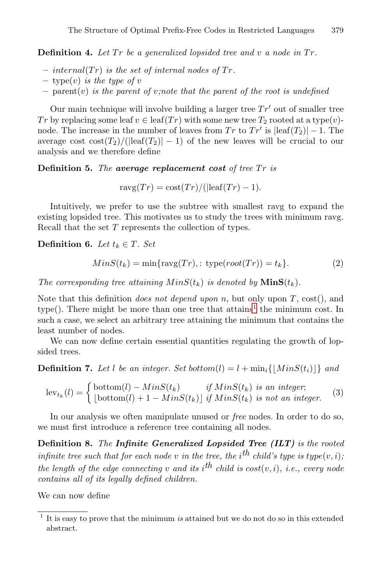**Definition 4.** Let Tr be a generalized lopsided tree and v a node in Tr.

- $-$  internal(Tr) is the set of internal nodes of Tr.
- **–** type(v) *is the type of* v
- $-$  parent (v) *is the parent of v;note that the parent of the root is undefined*

Our main technique will involve building a larger tree  $Tr'$  out of smaller tree Tr by replacing some leaf  $v \in \text{leaf}(Tr)$  with some new tree  $T_2$  rooted at a type $(v)$ node. The increase in the number of leaves from  $Tr$  to  $Tr'$  is  $\text{leaf}(T_2)|-1$ . The average cost  $\cot(T_2)/(|\mathrm{leaf}(T_2)|-1)$  of the new leaves will be crucial to our analysis and we therefore define

**Definition 5.** The **average replacement** cost of tree  $Tr$  is

 $r \text{avg}(Tr) = \text{cost}(Tr)/(|\text{leaf}(Tr) - 1).$ 

Intuitively, we prefer to use the subtree with smallest ravg to expand the existing lopsided tree. This motivates us to study the trees with minimum ravg. Recall that the set T represents the collection of types.

**Definition 6.** *Let*  $t_k \in T$ *. Set* 

$$
MinS(t_k) = \min\{\text{ravg}(Tr), : \text{type}(root(Tr)) = t_k\}.
$$
 (2)

*The corresponding tree attaining*  $MinS(t_k)$  *is denoted by*  $MinS(t_k)$ *.* 

Note that this definition *does not depend upon* n, but only upon T, cost(), and type(). There might be more than one tree that  $\text{attains}^1$  $\text{attains}^1$  the minimum cost. In such a case, we select an arbitrary tree attaining the minimum that contains the least number of nodes.

We can now define certain essential quantities regulating the growth of lopsided trees.

**Definition 7.** Let l be an integer. Set bottom(l) =  $l + min_i\{ |MinS(t_i)| \}$  and

$$
\operatorname{lev}_{t_k}(l) = \begin{cases} \operatorname{bottom}(l) - MinS(t_k) & \text{if } MinS(t_k) \text{ is an integer;}\\ \lfloor \operatorname{bottom}(l) + 1 - MinS(t_k) \rfloor & \text{if } MinS(t_k) \text{ is not an integer.} \end{cases} \tag{3}
$$

In our analysis we often manipulate unused or *free* nodes. In order to do so, we must first introduce a reference tree containing all nodes.

**Definition 8.** *The Infinite Generalized Lopsided Tree (ILT) is the rooted infinite tree such that for each node* v *in the tree, the*  $i^{th}$  *child's type* is  $type(v, i)$ *; the length of the edge connecting*  $v$  *and its*  $i^{th}$  *child is*  $cost(v, i)$ *, i.e., every node contains all of its legally defined children.*

We can now define

<span id="page-7-0"></span><sup>1</sup> It is easy to prove that the minimum *is* attained but we do not do so in this extended abstract.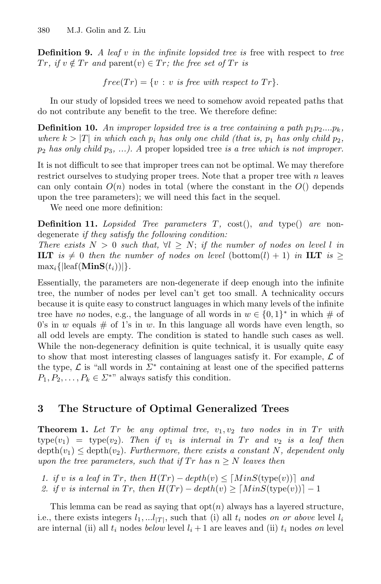**Definition 9.** *A leaf* v *in the infinite lopsided tree is* free with respect to *tree*  $Tr, if v \notin Tr \text{ and } \text{parent}(v) \in Tr; the free set of Tr is$ 

$$
free(Tr) = \{v : v \text{ is free with respect to } Tr\}.
$$

In our study of lopsided trees we need to somehow avoid repeated paths that do not contribute any benefit to the tree. We therefore define:

**Definition 10.** An improper lopsided tree is a tree containing a path  $p_1p_2...p_k$ , *where*  $k > |T|$  *in which each*  $p_i$  *has only one child (that is,*  $p_1$  *has only child*  $p_2$ *,* p<sup>2</sup> *has only child* p3*, ...). A* proper lopsided tree *is a tree which is not improper.*

It is not difficult to see that improper trees can not be optimal. We may therefore restrict ourselves to studying proper trees. Note that a proper tree with  $n$  leaves can only contain  $O(n)$  nodes in total (where the constant in the  $O(n)$  depends upon the tree parameters); we will need this fact in the sequel.

We need one more definition:

**Definition 11.** *Lopsided Tree parameters* T*,* cost(), *and* type() *are* nondegenerate *if they satisfy the following condition:*

*There exists*  $N > 0$  *such that,*  $\forall l \geq N$ ; *if the number of nodes on level l in* **ILT** is  $\neq$  0 then the number of nodes on level (bottom(l) + 1) in **ILT** is  $\geq$  $\max_i\{|leaf(\mathbf{MinS}(t_i))|\}.$ 

Essentially, the parameters are non-degenerate if deep enough into the infinite tree, the number of nodes per level can't get too small. A technicality occurs because it is quite easy to construct languages in which many levels of the infinite tree have *no* nodes, e.g., the language of all words in  $w \in \{0,1\}^*$  in which  $\#$  of 0's in w equals  $\#$  of 1's in w. In this language all words have even length, so all odd levels are empty. The condition is stated to handle such cases as well. While the non-degeneracy definition is quite technical, it is usually quite easy to show that most interesting classes of languages satisfy it. For example,  $\mathcal L$  of the type,  $\mathcal L$  is "all words in  $\Sigma^*$  containing at least one of the specified patterns  $P_1, P_2, \ldots, P_k \in \Sigma^{**}$  always satisfy this condition.

### **3 The Structure of Optimal Generalized Trees**

**Theorem 1.** Let Tr be any optimal tree,  $v_1, v_2$  two nodes in in Tr with  $type(v_1) = type(v_2)$ . Then if  $v_1$  is internal in Tr and  $v_2$  is a leaf then  $depth(v_1) \leq depth(v_2)$ . *Furthermore, there exists a constant* N, dependent only *upon the tree parameters, such that if*  $Tr$  *has*  $n \geq N$  *leaves then* 

*1. if* v *is a leaf in*  $Tr$ *, then*  $H(Tr) - depth(v) \leq [MinS(type(v))]$  and

2. if v is internal in Tr, then  $H(Tr) - depth(v) \geq [MinS(type(v))] - 1$ 

This lemma can be read as saying that  $opt(n)$  always has a layered structure, i.e., there exists integers  $l_1, \ldots, l_{|T|}$ , such that (i) all  $t_i$  nodes *on or above* level  $l_i$ are internal (ii) all  $t_i$  nodes *below* level  $l_i + 1$  are leaves and (ii)  $t_i$  nodes *on* level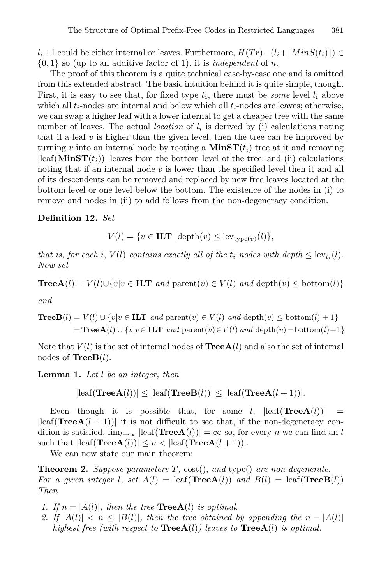$l_i+1$  could be either internal or leaves. Furthermore,  $H(Tr) - (l_i + \lceil MinS(t_i) \rceil) \in$ {0, 1} so (up to an additive factor of 1), it is *independent* of n.

The proof of this theorem is a quite technical case-by-case one and is omitted from this extended abstract. The basic intuition behind it is quite simple, though. First, it is easy to see that, for fixed type  $t_i$ , there must be *some* level  $l_i$  above which all  $t_i$ -nodes are internal and below which all  $t_i$ -nodes are leaves; otherwise, we can swap a higher leaf with a lower internal to get a cheaper tree with the same number of leaves. The actual *location* of  $l_i$  is derived by (i) calculations noting that if a leaf  $v$  is higher than the given level, then the tree can be improved by turning v into an internal node by rooting a  $\text{MinST}(t_i)$  tree at it and removing  $|\text{leaf}(\text{MinST}(t_i))|$  leaves from the bottom level of the tree; and (ii) calculations noting that if an internal node  $v$  is lower than the specified level then it and all of its descendents can be removed and replaced by new free leaves located at the bottom level or one level below the bottom. The existence of the nodes in (i) to remove and nodes in (ii) to add follows from the non-degeneracy condition.

**Definition 12.** *Set*

$$
V(l) = \{ v \in \mathbf{ILT} \mid \mathrm{depth}(v) \leq \mathrm{lev}_{\mathrm{type}(v)}(l) \},
$$

*that is, for each i, V(l) contains exactly all of the*  $t_i$  nodes with depth  $\leq$  lev<sub>t<sub>i</sub>(l).</sub> *Now set*

$$
\textbf{TreeA}(l) = V(l) \cup \{v | v \in \textbf{ILT} \text{ and } \text{parent}(v) \in V(l) \text{ and } \text{depth}(v) \leq \text{bottom}(l)\}
$$

*and*

$$
\begin{aligned} \textbf{TreeB}(l) &= V(l) \cup \{v | v \in \textbf{ILT} \ and \ \text{parent}(v) \in V(l) \ and \ \text{depth}(v) \leq \text{bottom}(l) + 1\} \\ &= \textbf{TreeA}(l) \cup \{v | v \in \textbf{ILT} \ and \ \text{parent}(v) \in V(l) \ and \ \text{depth}(v) = \text{bottom}(l) + 1\} \end{aligned}
$$

Note that  $V(l)$  is the set of internal nodes of  $\text{TreeA}(l)$  and also the set of internal nodes of **TreeB**(l).

**Lemma 1.** *Let* l *be an integer, then*

$$
|\text{leaf}(\text{TreeA}(l))| \leq |\text{leaf}(\text{TreeB}(l))| \leq |\text{leaf}(\text{TreeA}(l+1))|.
$$

Even though it is possible that, for some l,  $\left|\text{leaf(TreeA}(l))\right|$  =  $|\text{leaf}( \text{TreeA}(l + 1))|$  it is not difficult to see that, if the non-degeneracy condition is satisfied,  $\lim_{l\to\infty}$   $\left|\text{leaf}(\text{TreeA}(l))\right| = \infty$  so, for every *n* we can find an *l* such that  $|\text{leaf}(\text{TreeA}(l))| \leq n < |\text{leaf}(\text{TreeA}(l + 1))|$ .

<span id="page-9-0"></span>We can now state our main theorem:

**Theorem 2.** *Suppose parameters* T*,* cost(), *and* type() *are non-degenerate. For a given integer l, set*  $A(l) = \text{leaf}(\text{Tree}A(l))$  *and*  $B(l) = \text{leaf}(\text{Tree}B(l))$ *Then*

- *1. If*  $n = |A(l)|$ *, then the tree* **TreeA**(l) *is optimal.*
- 2. If  $|A(l)| < n \leq |B(l)|$ , then the tree obtained by appending the  $n |A(l)|$ *highest free (with respect to* **TreeA**(l)*) leaves to* **TreeA**(l) *is optimal.*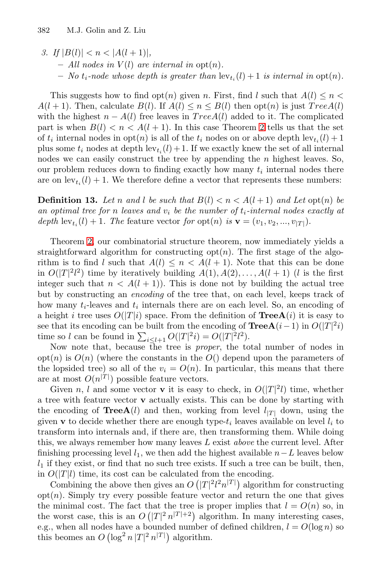*3.* If  $|B(l)| < n < |A(l+1)|$ ,  $-$  *All nodes in*  $V(l)$  *are internal in*  $opt(n)$ *.*  $-$  *No*  $t_i$ -node whose depth is greater than  $\text{lev}_{t_i}(l) + 1$  *is internal in*  $\text{opt}(n)$ *.* 

This suggests how to find opt $(n)$  given n. First, find l such that  $A(l) \leq n$  $A(l + 1)$ . Then, calculate  $B(l)$ . If  $A(l) \le n \le B(l)$  then  $\text{opt}(n)$  is just  $TreeA(l)$ with the highest  $n - A(l)$  free leaves in  $TreeA(l)$  added to it. The complicated part is when  $B(l) < n < A(l + 1)$ . In this case Theorem [2](#page-9-0) tells us that the set of  $t_i$  internal nodes in  $\text{opt}(n)$  is all of the  $t_i$  nodes on or above depth  $\text{lev}_{t_i}(l) + 1$ plus some  $t_i$  nodes at depth  $\text{lev}_{t_i}(l) + 1$ . If we exactly knew the set of all internal nodes we can easily construct the tree by appending the  $n$  highest leaves. So, our problem reduces down to finding exactly how many  $t_i$  internal nodes there are on  $\text{lev}_{t_i}(l) + 1$ . We therefore define a vector that represents these numbers:

**Definition 13.** Let n and l be such that  $B(l) < n < A(l + 1)$  and Let opt(n) be *an optimal tree for* n *leaves and* v*<sup>i</sup> be the number of* t*i-internal nodes exactly at depth*  $\text{lev}_{t_i}(l) + 1$ *. The* feature vector *for*  $\text{opt}(n)$  *is*  $\mathbf{v} = (v_1, v_2, ..., v_{|T|})$ *.* 

Theorem [2,](#page-9-0) our combinatorial structure theorem, now immediately yields a straightforward algorithm for constructing  $opt(n)$ . The first stage of the algorithm is to find l such that  $A(l) \leq n < A(l + 1)$ . Note that this can be done in  $O(|T|^2 l^2)$  time by iteratively building  $A(1), A(2), \ldots, A(l + 1)$  (l is the first integer such that  $n < A(l + 1)$ . This is done not by building the actual tree but by constructing an *encoding* of the tree that, on each level, keeps track of how many  $t_i$ -leaves and  $t_i$  internals there are on each level. So, an encoding of a height i tree uses  $O(|T|i)$  space. From the definition of **TreeA**(i) it is easy to see that its encoding can be built from the encoding of  $\text{TreeA}(i-1)$  in  $O(|T|^2i)$ time so *l* can be found in  $\sum_{i \leq l+1} O(|T|^2 i) = O(|T|^2 l^2)$ .

Now note that, because the tree is *proper*, the total number of nodes in  $\mathrm{opt}(n)$  is  $O(n)$  (where the constants in the  $O(n)$  depend upon the parameters of the lopsided tree) so all of the  $v_i = O(n)$ . In particular, this means that there are at most  $O(n^{|T|})$  possible feature vectors.

Given n, l and some vector **v** it is easy to check, in  $O(|T|^2 l)$  time, whether a tree with feature vector **v** actually exists. This can be done by starting with the encoding of **TreeA**(l) and then, working from level  $l_{|T|}$  down, using the given **v** to decide whether there are enough type- $t_i$  leaves available on level  $l_i$  to transform into internals and, if there are, then transforming them. While doing this, we always remember how many leaves L exist *above* the current level. After finishing processing level  $l_1$ , we then add the highest available  $n-L$  leaves below  $l_1$  if they exist, or find that no such tree exists. If such a tree can be built, then, in  $O(|T|l)$  time, its cost can be calculated from the encoding.

Combining the above then gives an  $O(|T|^2 l^2 n^{|T|})$  algorithm for constructing  $\text{opt}(n)$ . Simply try every possible feature vector and return the one that gives the minimal cost. The fact that the tree is proper implies that  $l = O(n)$  so, in the worst case, this is an  $O(|T|^2 n^{|T|+2})$  algorithm. In many interesting cases, e.g., when all nodes have a bounded number of defined children,  $l = O(\log n)$  so this beomes an  $O\left(\log^2 n |T|^2 n^{|T|}\right)$  algorithm.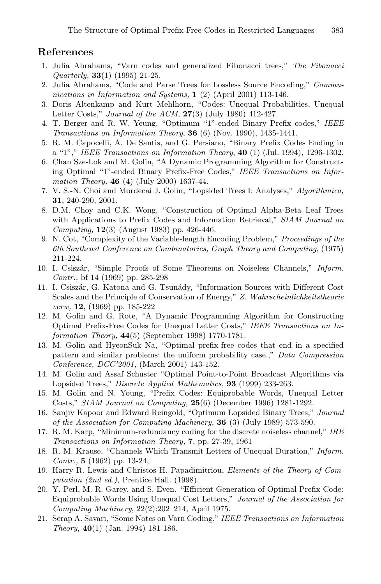#### <span id="page-11-16"></span><span id="page-11-6"></span>**References**

- 1. Julia Abrahams, "Varn codes and generalized Fibonacci trees," *The Fibonacci Quarterly,* **33**(1) (1995) 21-25.
- 2. Julia Abrahams, "Code and Parse Trees for Lossless Source Encoding," *Communications in Information and Systems,* **1** (2) (April 2001) 113-146.
- <span id="page-11-3"></span>3. Doris Altenkamp and Kurt Mehlhorn, "Codes: Unequal Probabilities, Unequal Letter Costs," *Journal of the ACM*, **27**(3) (July 1980) 412-427.
- <span id="page-11-14"></span><span id="page-11-13"></span>4. T. Berger and R. W. Yeung, "Optimum "1"-ended Binary Prefix codes," *IEEE Transactions on Information Theory*, **36** (6) (Nov. 1990), 1435-1441.
- 5. R. M. Capocelli, A. De Santis, and G. Persiano, "Binary Prefix Codes Ending in a "1"," *IEEE Transactions on Information Theory*, **40** (1) (Jul. 1994), 1296-1302.
- 6. Chan Sze-Lok and M. Golin, "A Dynamic Programming Algorithm for Constructing Optimal "1"-ended Binary Prefix-Free Codes," *IEEE Transactions on Information Theory,* **46** (4) (July 2000) 1637-44.
- <span id="page-11-8"></span><span id="page-11-7"></span>7. V. S.-N. Choi and Mordecai J. Golin, "Lopsided Trees I: Analyses," *Algorithmica,* **31**, 240-290, 2001.
- 8. D.M. Choy and C.K. Wong, "Construction of Optimal Alpha-Beta Leaf Trees with Applications to Prefix Codes and Information Retrieval," *SIAM Journal on Computing,* **12**(3) (August 1983) pp. 426-446.
- <span id="page-11-9"></span>9. N. Cot, "Complexity of the Variable-length Encoding Problem," *Proceedings of the 6th Southeast Conference on Combinatorics, Graph Theory and Computing,* (1975) 211-224.
- <span id="page-11-1"></span>10. I. Csisz´ar, "Simple Proofs of Some Theorems on Noiseless Channels," *Inform. Contr.,* bf 14 (1969) pp. 285-298
- <span id="page-11-2"></span>11. I. Csiszár, G. Katona and G. Tsunády, "Information Sources with Different Cost Scales and the Principle of Conservation of Energy," *Z. Wahrscheinlichkeitstheorie verw,* **12**, (1969) pp. 185-222
- 12. M. Golin and G. Rote, "A Dynamic Programming Algorithm for Constructing Optimal Prefix-Free Codes for Unequal Letter Costs," *IEEE Transactions on Information Theory,* **44**(5) (September 1998) 1770-1781.
- <span id="page-11-12"></span>13. M. Golin and HyeonSuk Na, "Optimal prefix-free codes that end in a specified pattern and similar problems: the uniform probability case.," *Data Compression Conference, DCC'2001,* (March 2001) 143-152.
- 14. M. Golin and Assaf Schuster "Optimal Point-to-Point Broadcast Algorithms via Lopsided Trees," *Discrete Applied Mathematics,* **93** (1999) 233-263.
- <span id="page-11-11"></span>15. M. Golin and N. Young, "Prefix Codes: Equiprobable Words, Unequal Letter Costs," *SIAM Journal on Computing,* **25**(6) (December 1996) 1281-1292.
- <span id="page-11-4"></span>16. Sanjiv Kapoor and Edward Reingold, "Optimum Lopsided Binary Trees," *Journal of the Association for Computing Machinery,* **36** (3) (July 1989) 573-590.
- <span id="page-11-15"></span>17. R. M. Karp, "Minimum-redundancy coding for the discrete noiseless channel," *IRE Transactions on Information Theory,* **7**, pp. 27-39, 1961
- <span id="page-11-0"></span>18. R. M. Krause, "Channels Which Transmit Letters of Unequal Duration," *Inform. Contr.,* **5** (1962) pp. 13-24,
- 19. Harry R. Lewis and Christos H. Papadimitriou, *Elements of the Theory of Computation (2nd ed.),* Prentice Hall. (1998).
- <span id="page-11-10"></span>20. Y. Perl, M. R. Garey, and S. Even. "Efficient Generation of Optimal Prefix Code: Equiprobable Words Using Unequal Cost Letters," *Journal of the Association for Computing Machinery*, 22(2):202–214, April 1975.
- <span id="page-11-5"></span>21. Serap A. Savari, "Some Notes on Varn Coding," *IEEE Transactions on Information Theory,* **40**(1) (Jan. 1994) 181-186.